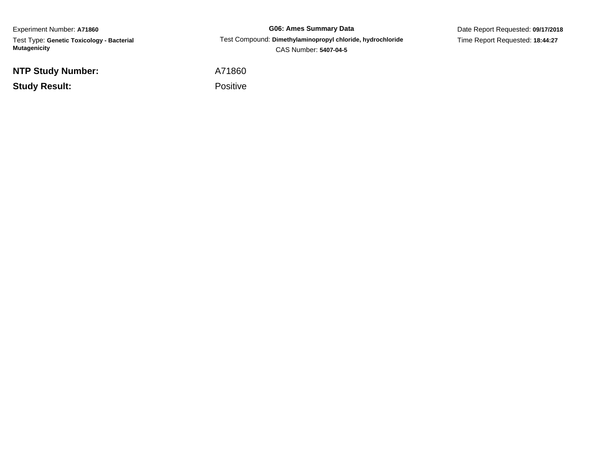Experiment Number: **A71860** Test Type: **Genetic Toxicology - Bacterial Mutagenicity**

**NTP Study Number:**

**Study Result:**

**G06: Ames Summary Data** Test Compound: **Dimethylaminopropyl chloride, hydrochloride**CAS Number: **5407-04-5**

Date Report Requested: **09/17/2018**Time Report Requested: **18:44:27**

A71860

Positive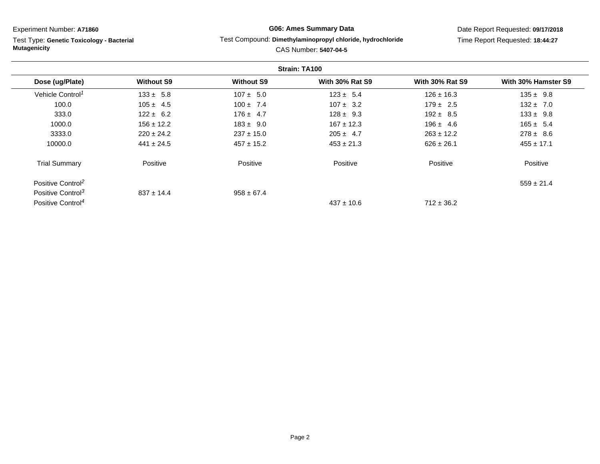Test Type: **Genetic Toxicology - Bacterial Mutagenicity**

# **G06: Ames Summary Data**

#### Test Compound: **Dimethylaminopropyl chloride, hydrochloride**

Date Report Requested: **09/17/2018**Time Report Requested: **18:44:27**

| Strain: TA100                 |                   |                   |                        |                        |                     |
|-------------------------------|-------------------|-------------------|------------------------|------------------------|---------------------|
| Dose (ug/Plate)               | <b>Without S9</b> | <b>Without S9</b> | <b>With 30% Rat S9</b> | <b>With 30% Rat S9</b> | With 30% Hamster S9 |
| Vehicle Control <sup>1</sup>  | $133 \pm 5.8$     | $107 \pm 5.0$     | $123 \pm 5.4$          | $126 \pm 16.3$         | $135 \pm 9.8$       |
| 100.0                         | $105 \pm 4.5$     | $100 \pm 7.4$     | $107 \pm 3.2$          | $179 \pm 2.5$          | $132 \pm 7.0$       |
| 333.0                         | $122 \pm 6.2$     | $176 \pm 4.7$     | $128 \pm 9.3$          | $192 \pm 8.5$          | $133 \pm 9.8$       |
| 1000.0                        | $156 \pm 12.2$    | $183 \pm 9.0$     | $167 \pm 12.3$         | $196 \pm 4.6$          | $165 \pm 5.4$       |
| 3333.0                        | $220 \pm 24.2$    | $237 \pm 15.0$    | $205 \pm 4.7$          | $263 \pm 12.2$         | $278 \pm 8.6$       |
| 10000.0                       | $441 \pm 24.5$    | $457 \pm 15.2$    | $453 \pm 21.3$         | $626 \pm 26.1$         | $455 \pm 17.1$      |
| <b>Trial Summary</b>          | Positive          | Positive          | Positive               | Positive               | Positive            |
| Positive Control <sup>2</sup> |                   |                   |                        |                        | $559 \pm 21.4$      |
| Positive Control <sup>3</sup> | $837 \pm 14.4$    | $958 \pm 67.4$    |                        |                        |                     |
| Positive Control <sup>4</sup> |                   |                   | $437 \pm 10.6$         | $712 \pm 36.2$         |                     |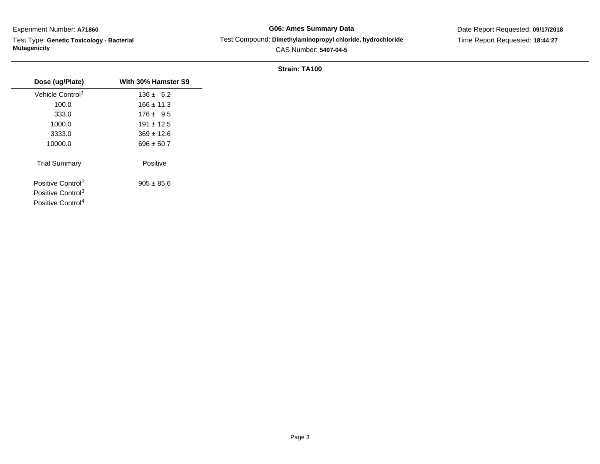Test Type: **Genetic Toxicology - Bacterial Mutagenicity**

# **G06: Ames Summary Data** Test Compound: **Dimethylaminopropyl chloride, hydrochloride**CAS Number: **5407-04-5**

Date Report Requested: **09/17/2018**Time Report Requested: **18:44:27**

#### **Strain: TA100**

| Dose (ug/Plate)               | With 30% Hamster S9 |
|-------------------------------|---------------------|
| Vehicle Control <sup>1</sup>  | $136 \pm 6.2$       |
| 100.0                         | $166 \pm 11.3$      |
| 333.0                         | $176 \pm 9.5$       |
| 1000.0                        | $191 \pm 12.5$      |
| 3333.0                        | $369 \pm 12.6$      |
| 10000.0                       | $696 \pm 50.7$      |
| <b>Trial Summary</b>          | Positive            |
| Positive Control <sup>2</sup> | $905 \pm 85.6$      |
| Positive Control <sup>3</sup> |                     |
| Positive Control <sup>4</sup> |                     |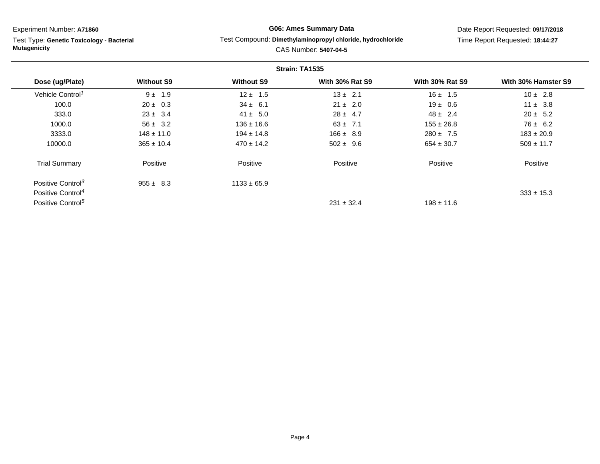Test Type: **Genetic Toxicology - Bacterial Mutagenicity**

# **G06: Ames Summary Data**

#### Test Compound: **Dimethylaminopropyl chloride, hydrochloride**

Date Report Requested: **09/17/2018**Time Report Requested: **18:44:27**

| Strain: TA1535                |                   |                   |                        |                        |                     |
|-------------------------------|-------------------|-------------------|------------------------|------------------------|---------------------|
| Dose (ug/Plate)               | <b>Without S9</b> | <b>Without S9</b> | <b>With 30% Rat S9</b> | <b>With 30% Rat S9</b> | With 30% Hamster S9 |
| Vehicle Control <sup>1</sup>  | $9 \pm 1.9$       | $12 \pm 1.5$      | $13 \pm 2.1$           | $16 \pm 1.5$           | $10 \pm 2.8$        |
| 100.0                         | $20 \pm 0.3$      | $34 \pm 6.1$      | $21 \pm 2.0$           | $19 \pm 0.6$           | $11 \pm 3.8$        |
| 333.0                         | $23 \pm 3.4$      | $41 \pm 5.0$      | $28 \pm 4.7$           | $48 \pm 2.4$           | $20 \pm 5.2$        |
| 1000.0                        | $56 \pm 3.2$      | $136 \pm 16.6$    | $63 \pm 7.1$           | $155 \pm 26.8$         | $76 \pm 6.2$        |
| 3333.0                        | $148 \pm 11.0$    | $194 \pm 14.8$    | $166 \pm 8.9$          | $280 \pm 7.5$          | $183 \pm 20.9$      |
| 10000.0                       | $365 \pm 10.4$    | $470 \pm 14.2$    | $502 \pm 9.6$          | $654 \pm 30.7$         | $509 \pm 11.7$      |
| <b>Trial Summary</b>          | Positive          | Positive          | Positive               | Positive               | Positive            |
| Positive Control <sup>3</sup> | $955 \pm 8.3$     | $1133 \pm 65.9$   |                        |                        |                     |
| Positive Control <sup>4</sup> |                   |                   |                        |                        | $333 \pm 15.3$      |
| Positive Control <sup>5</sup> |                   |                   | $231 \pm 32.4$         | $198 \pm 11.6$         |                     |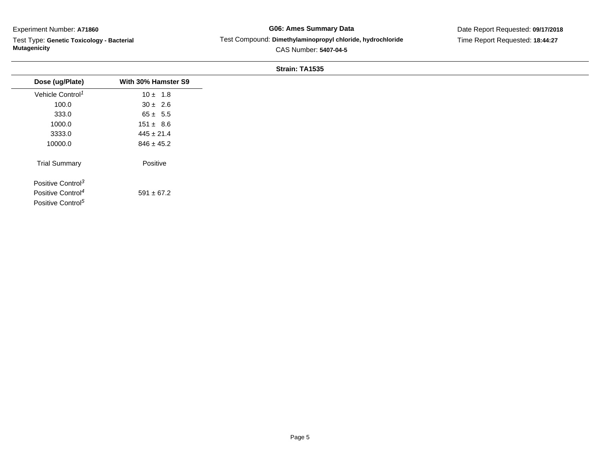Test Type: **Genetic Toxicology - Bacterial Mutagenicity**

# **G06: Ames Summary Data**Test Compound: **Dimethylaminopropyl chloride, hydrochloride**

Date Report Requested: **09/17/2018**Time Report Requested: **18:44:27**

| Dose (ug/Plate)               | With 30% Hamster S9 |
|-------------------------------|---------------------|
| Vehicle Control <sup>1</sup>  | $10 \pm 1.8$        |
| 100.0                         | $30 \pm 2.6$        |
| 333.0                         | $65 \pm 5.5$        |
| 1000.0                        | $151 \pm 8.6$       |
| 3333.0                        | $445 \pm 21.4$      |
| 10000.0                       | $846 \pm 45.2$      |
| <b>Trial Summary</b>          | Positive            |
| Positive Control <sup>3</sup> |                     |
| Positive Control <sup>4</sup> | $591 \pm 67.2$      |
| Positive Control <sup>5</sup> |                     |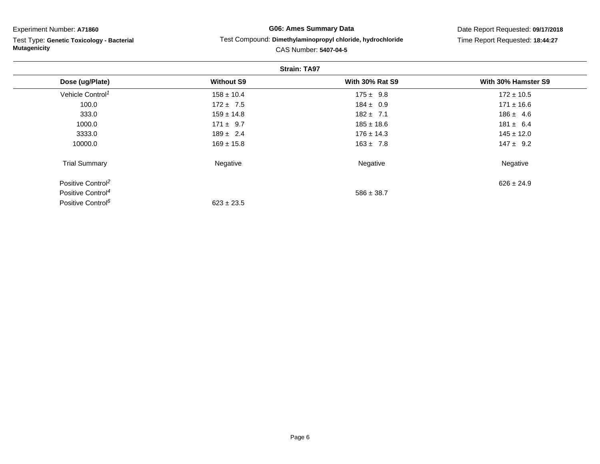Test Type: **Genetic Toxicology - Bacterial Mutagenicity**

**G06: Ames Summary Data**

#### Test Compound: **Dimethylaminopropyl chloride, hydrochloride**

Date Report Requested: **09/17/2018**Time Report Requested: **18:44:27**

| <b>Strain: TA97</b>           |                   |                        |                     |  |
|-------------------------------|-------------------|------------------------|---------------------|--|
| Dose (ug/Plate)               | <b>Without S9</b> | <b>With 30% Rat S9</b> | With 30% Hamster S9 |  |
| Vehicle Control <sup>1</sup>  | $158 \pm 10.4$    | $175 \pm 9.8$          | $172 \pm 10.5$      |  |
| 100.0                         | $172 \pm 7.5$     | $184 \pm 0.9$          | $171 \pm 16.6$      |  |
| 333.0                         | $159 \pm 14.8$    | $182 + 7.1$            | $186 \pm 4.6$       |  |
| 1000.0                        | $171 \pm 9.7$     | $185 \pm 18.6$         | $181 \pm 6.4$       |  |
| 3333.0                        | $189 \pm 2.4$     | $176 \pm 14.3$         | $145 \pm 12.0$      |  |
| 10000.0                       | $169 \pm 15.8$    | $163 \pm 7.8$          | $147 \pm 9.2$       |  |
| <b>Trial Summary</b>          | Negative          | Negative               | Negative            |  |
| Positive Control <sup>2</sup> |                   |                        | $626 \pm 24.9$      |  |
| Positive Control <sup>4</sup> |                   | $586 \pm 38.7$         |                     |  |
| Positive Control <sup>6</sup> | $623 \pm 23.5$    |                        |                     |  |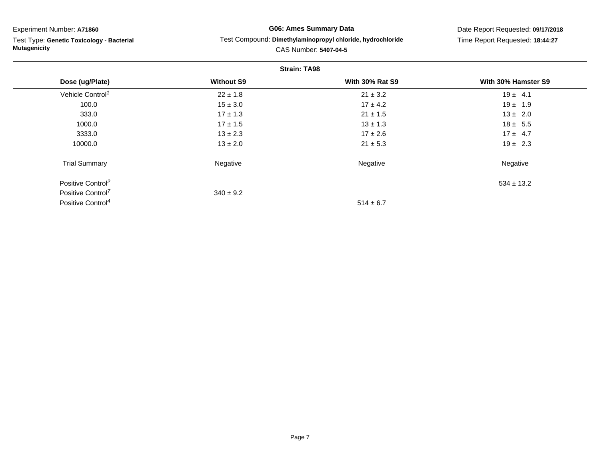Test Type: **Genetic Toxicology - Bacterial Mutagenicity**

# **G06: Ames Summary Data**

#### Test Compound: **Dimethylaminopropyl chloride, hydrochloride**

Date Report Requested: **09/17/2018**Time Report Requested: **18:44:27**

| <b>Strain: TA98</b>           |                   |                        |                     |  |  |
|-------------------------------|-------------------|------------------------|---------------------|--|--|
| Dose (ug/Plate)               | <b>Without S9</b> | <b>With 30% Rat S9</b> | With 30% Hamster S9 |  |  |
| Vehicle Control <sup>1</sup>  | $22 \pm 1.8$      | $21 \pm 3.2$           | $19 \pm 4.1$        |  |  |
| 100.0                         | $15 \pm 3.0$      | $17 \pm 4.2$           | $19 \pm 1.9$        |  |  |
| 333.0                         | $17 \pm 1.3$      | $21 \pm 1.5$           | $13 \pm 2.0$        |  |  |
| 1000.0                        | $17 \pm 1.5$      | $13 \pm 1.3$           | $18 \pm 5.5$        |  |  |
| 3333.0                        | $13 \pm 2.3$      | $17 \pm 2.6$           | $17 \pm 4.7$        |  |  |
| 10000.0                       | $13 \pm 2.0$      | $21 \pm 5.3$           | $19 \pm 2.3$        |  |  |
| <b>Trial Summary</b>          | Negative          | Negative               | Negative            |  |  |
| Positive Control <sup>2</sup> |                   |                        | $534 \pm 13.2$      |  |  |
| Positive Control <sup>7</sup> | $340 \pm 9.2$     |                        |                     |  |  |
| Positive Control <sup>4</sup> |                   | $514 \pm 6.7$          |                     |  |  |